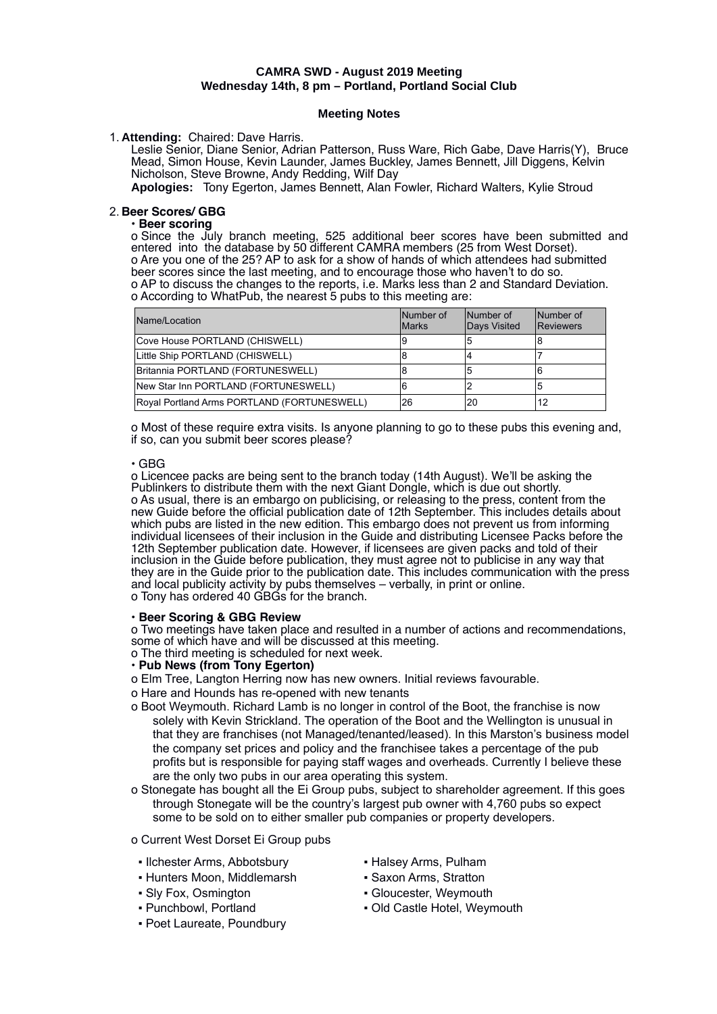# **CAMRA SWD - August 2019 Meeting Wednesday 14th, 8 pm – Portland, Portland Social Club**

### **Meeting Notes**

#### 1. **Attending:** Chaired: Dave Harris.

Leslie Senior, Diane Senior, Adrian Patterson, Russ Ware, Rich Gabe, Dave Harris(Y), Bruce Mead, Simon House, Kevin Launder, James Buckley, James Bennett, Jill Diggens, Kelvin Nicholson, Steve Browne, Andy Redding, Wilf Day

**Apologies:** Tony Egerton, James Bennett, Alan Fowler, Richard Walters, Kylie Stroud

# 2. **Beer Scores/ GBG**

# • **Beer scoring**

o Since the July branch meeting, 525 additional beer scores have been submitted and entered into the database by 50 different CAMRA members (25 from West Dorset). o Are you one of the 25? AP to ask for a show of hands of which attendees had submitted beer scores since the last meeting, and to encourage those who haven't to do so. o AP to discuss the changes to the reports, i.e. Marks less than 2 and Standard Deviation. o According to WhatPub, the nearest 5 pubs to this meeting are:

| Name/Location                               | Number of<br><b>Marks</b> | Number of<br>Days Visited | Number of<br>Reviewers |
|---------------------------------------------|---------------------------|---------------------------|------------------------|
| Cove House PORTLAND (CHISWELL)              | ч                         | G                         | 8                      |
| Little Ship PORTLAND (CHISWELL)             |                           |                           |                        |
| Britannia PORTLAND (FORTUNESWELL)           |                           |                           |                        |
| New Star Inn PORTLAND (FORTUNESWELL)        |                           |                           | 5                      |
| Royal Portland Arms PORTLAND (FORTUNESWELL) | 26                        | 20                        | 12                     |

o Most of these require extra visits. Is anyone planning to go to these pubs this evening and, if so, can you submit beer scores please?

#### • GBG

o Licencee packs are being sent to the branch today (14th August). We'll be asking the Publinkers to distribute them with the next Giant Dongle, which is due out shortly. o As usual, there is an embargo on publicising, or releasing to the press, content from the new Guide before the official publication date of 12th September. This includes details about which pubs are listed in the new edition. This embargo does not prevent us from informing individual licensees of their inclusion in the Guide and distributing Licensee Packs before the 12th September publication date. However, if licensees are given packs and told of their inclusion in the Guide before publication, they must agree not to publicise in any way that they are in the Guide prior to the publication date. This includes communication with the press and local publicity activity by pubs themselves – verbally, in print or online. o Tony has ordered 40 GBGs for the branch.

# • **Beer Scoring & GBG Review**

o Two meetings have taken place and resulted in a number of actions and recommendations, some of which have and will be discussed at this meeting.

o The third meeting is scheduled for next week.

# • **Pub News (from Tony Egerton)**

- o Elm Tree, Langton Herring now has new owners. Initial reviews favourable.
- o Hare and Hounds has re-opened with new tenants
- o Boot Weymouth. Richard Lamb is no longer in control of the Boot, the franchise is now solely with Kevin Strickland. The operation of the Boot and the Wellington is unusual in that they are franchises (not Managed/tenanted/leased). In this Marston's business model the company set prices and policy and the franchisee takes a percentage of the pub profits but is responsible for paying staff wages and overheads. Currently I believe these are the only two pubs in our area operating this system.
- o Stonegate has bought all the Ei Group pubs, subject to shareholder agreement. If this goes through Stonegate will be the country's largest pub owner with 4,760 pubs so expect some to be sold on to either smaller pub companies or property developers.

# o Current West Dorset Ei Group pubs

- Ilchester Arms, Abbotsbury Halsey Arms, Pulham
- Hunters Moon, Middlemarsh Saxon Arms, Stratton
- 
- 
- Poet Laureate, Poundbury
- 
- 
- Sly Fox, Osmington  **Gloucester, Weymouth**
- Punchbowl, Portland  **Old Castle Hotel, Weymouth**